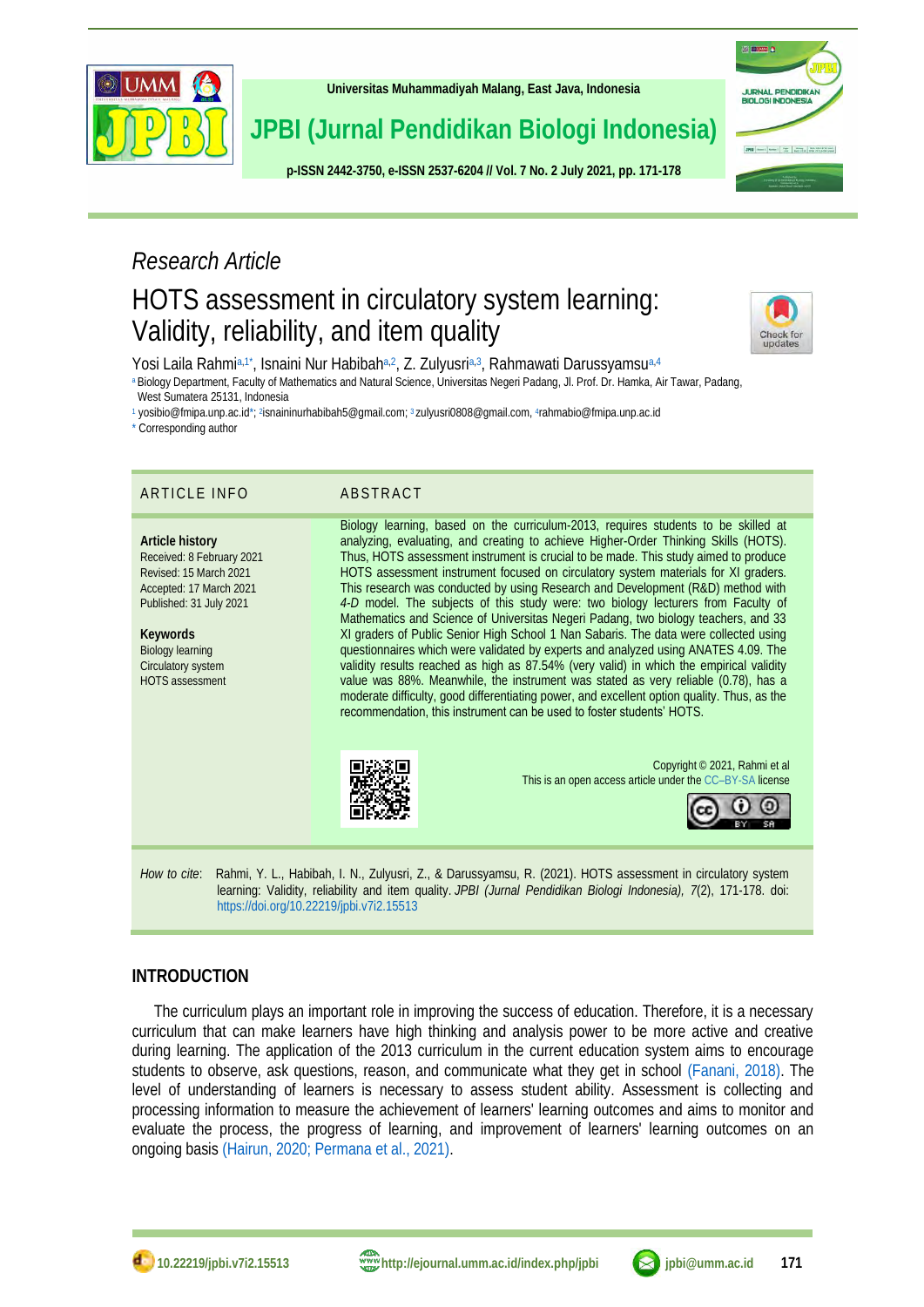

**[Universitas Muhammadiyah Malang,](http://ejournal.umm.ac.id/) East Java, Indonesia**

**JPBI (Jurnal Pendidikan Biologi Indonesia)**

**p-ISS[N 2442-3750,](http://u.lipi.go.id/1422867894) e-ISS[N 2537-6204](http://u.lipi.go.id/1460300524) // Vol. 7 No. 2 July 2021, pp. 171-178**



# *Research Article*

# HOTS assessment in circulatory system learning: Validity, reliability, and item quality



<span id="page-0-6"></span><span id="page-0-1"></span>Yosi Laila Rahmi[a,](#page-0-0)[1\\*](#page-0-1), Isnaini Nur Habibaha,[2](#page-0-3), Z. Zulyusria,[3](#page-0-4), Rahmawati Darussyamsu<sup>a,[4](#page-0-5)</sup>

<span id="page-0-0"></span>[a](#page-0-0) Biology Department, Faculty of Mathematics and Natural Science, Universitas Negeri Padang, Jl. Prof. Dr. Hamka, Air Tawar, Padang, West Sumatera 25131, Indonesia

<span id="page-0-8"></span>[1](#page-0-1) yosibio@fmipa.unp.ac.i[d\\*;](#page-0-1)<sup>2</sup>[isnaininurhabibah5@gmail.com;](mailto:isnaininurhabibah5@gmail.com) <sup>3</sup> [zulyusri0808@gmail.com,](mailto:zulyusri0808@gmail.com,) 4[r](#page-0-7)ahmabio@fmipa.unp.ac.id

<span id="page-0-2"></span>[\\*](#page-0-8) Corresponding author

### ARTICLE INFO ABSTRACT

**Article history** Received: 8 February 2021 Revised: 15 March 2021 Accepted: 17 March 2021 Published: 31 July 2021

**Keywords** Biology learning Circulatory system HOTS assessment

<span id="page-0-7"></span><span id="page-0-5"></span><span id="page-0-4"></span><span id="page-0-3"></span>

Biology learning, based on the curriculum-2013, requires students to be skilled at analyzing, evaluating, and creating to achieve Higher-Order Thinking Skills (HOTS). Thus, HOTS assessment instrument is crucial to be made. This study aimed to produce HOTS assessment instrument focused on circulatory system materials for XI graders. This research was conducted by using Research and Development (R&D) method with *4-D* model. The subjects of this study were: two biology lecturers from Faculty of Mathematics and Science of Universitas Negeri Padang, two biology teachers, and 33 XI graders of Public Senior High School 1 Nan Sabaris. The data were collected using questionnaires which were validated by experts and analyzed using ANATES 4.09. The validity results reached as high as 87.54% (very valid) in which the empirical validity value was 88%. Meanwhile, the instrument was stated as very reliable (0.78), has a moderate difficulty, good differentiating power, and excellent option quality. Thus, as the recommendation, this instrument can be used to foster students' HOTS.



Copyright © 2021, Rahmi et al This is an open access article under the CC–[BY-SA](http://creativecommons.org/licenses/by-sa/4.0/) license



*How to cite*: Rahmi, Y. L., Habibah, I. N., Zulyusri, Z., & Darussyamsu, R. (2021). HOTS assessment in circulatory system learning: Validity, reliability and item quality. *JPBI (Jurnal Pendidikan Biologi Indonesia), 7*(2), 171-178. doi: <https://doi.org/10.22219/jpbi.v7i2.15513>

## **INTRODUCTION**

The curriculum plays an important role in improving the success of education. Therefore, it is a necessary curriculum that can make learners have high thinking and analysis power to be more active and creative during learning. The application of the 2013 curriculum in the current education system aims to encourage students to observe, ask questions, reason, and communicate what they get in school [\(Fanani, 2018\).](#page-6-0) The level of understanding of learners is necessary to assess student ability. Assessment is collecting and processing information to measure the achievement of learners' learning outcomes and aims to monitor and evaluate the process, the progress of learning, and improvement of learners' learning outcomes on an ongoing basis [\(Hairun, 2020;](#page-6-1) [Permana et al., 2021\).](#page-7-0)

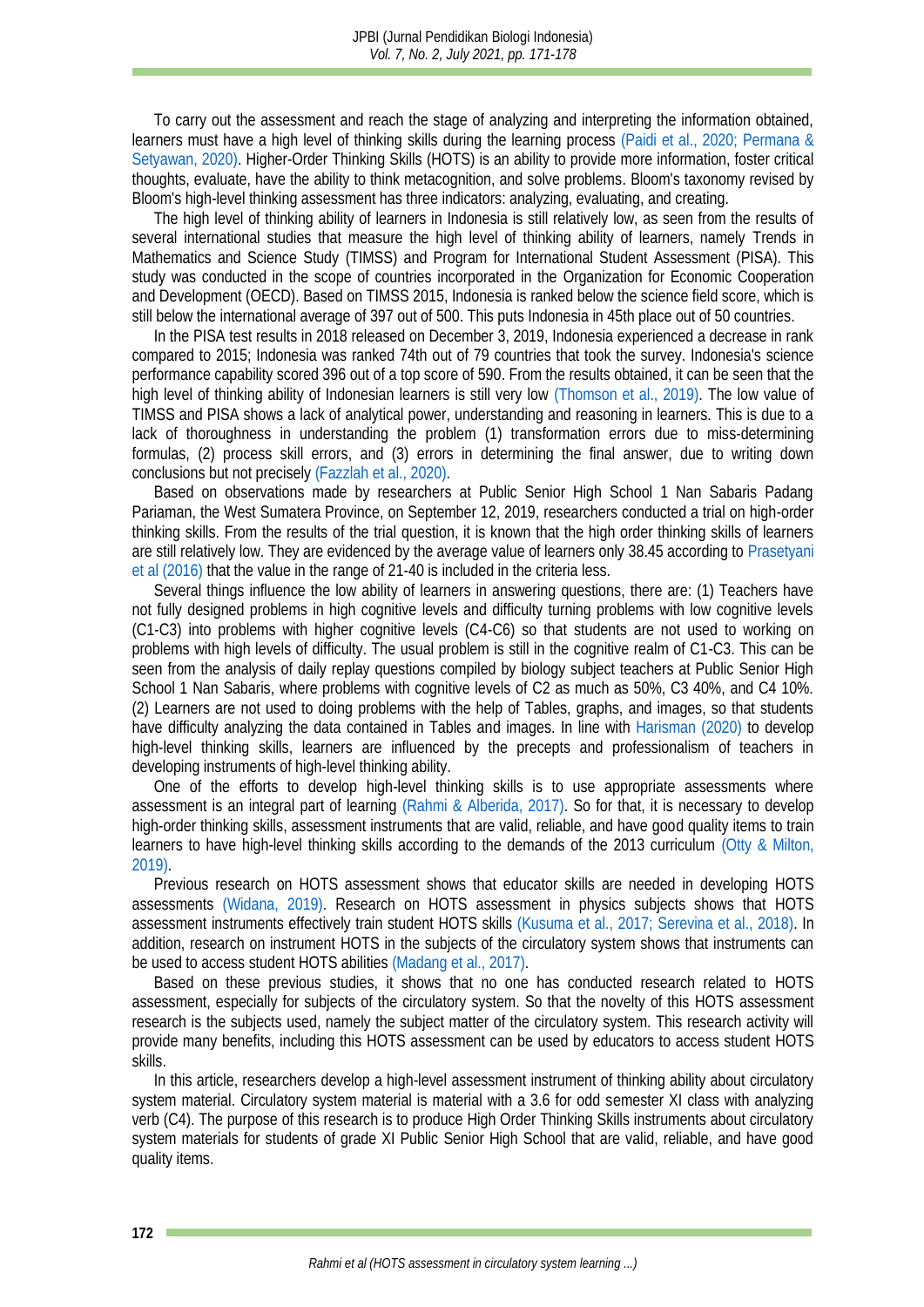To carry out the assessment and reach the stage of analyzing and interpreting the information obtained, learners must have a high level of thinking skills during the learning process [\(Paidi et al., 2020;](#page-7-1) [Permana &](#page-7-2)  [Setyawan, 2020\).](#page-7-2) Higher-Order Thinking Skills (HOTS) is an ability to provide more information, foster critical thoughts, evaluate, have the ability to think metacognition, and solve problems. Bloom's taxonomy revised by Bloom's high-level thinking assessment has three indicators: analyzing, evaluating, and creating.

The high level of thinking ability of learners in Indonesia is still relatively low, as seen from the results of several international studies that measure the high level of thinking ability of learners, namely Trends in Mathematics and Science Study (TIMSS) and Program for International Student Assessment (PISA). This study was conducted in the scope of countries incorporated in the Organization for Economic Cooperation and Development (OECD). Based on TIMSS 2015, Indonesia is ranked below the science field score, which is still below the international average of 397 out of 500. This puts Indonesia in 45th place out of 50 countries.

In the PISA test results in 2018 released on December 3, 2019, Indonesia experienced a decrease in rank compared to 2015; Indonesia was ranked 74th out of 79 countries that took the survey. Indonesia's science performance capability scored 396 out of a top score of 590. From the results obtained, it can be seen that the high level of thinking ability of Indonesian learners is still very low [\(Thomson et al., 2019\).](#page-7-3) The low value of TIMSS and PISA shows a lack of analytical power, understanding and reasoning in learners. This is due to a lack of thoroughness in understanding the problem (1) transformation errors due to miss-determining formulas, (2) process skill errors, and (3) errors in determining the final answer, due to writing down conclusions but not precisely [\(Fazzlah et al., 2020\).](#page-6-2)

Based on observations made by researchers at Public Senior High School 1 Nan Sabaris Padang Pariaman, the West Sumatera Province, on September 12, 2019, researchers conducted a trial on high-order thinking skills. From the results of the trial question, it is known that the high order thinking skills of learners are still relatively low. They are evidenced by the average value of learners only 38.45 according to [Prasetyani](#page-7-4)  et al (2016) that the value in the range of 21-40 is included in the criteria less.

Several things influence the low ability of learners in answering questions, there are: (1) Teachers have not fully designed problems in high cognitive levels and difficulty turning problems with low cognitive levels (C1-C3) into problems with higher cognitive levels (C4-C6) so that students are not used to working on problems with high levels of difficulty. The usual problem is still in the cognitive realm of C1-C3. This can be seen from the analysis of daily replay questions compiled by biology subject teachers at Public Senior High School 1 Nan Sabaris, where problems with cognitive levels of C2 as much as 50%, C3 40%, and C4 10%. (2) Learners are not used to doing problems with the help of Tables, graphs, and images, so that students have difficulty analyzing the data contained in Tables and images. In line with [Harisman \(2020\)](#page-6-3) to develop high-level thinking skills, learners are influenced by the precepts and professionalism of teachers in developing instruments of high-level thinking ability.

One of the efforts to develop high-level thinking skills is to use appropriate assessments where assessment is an integral part of learning [\(Rahmi & Alberida, 2017\).](#page-7-5) So for that, it is necessary to develop high-order thinking skills, assessment instruments that are valid, reliable, and have good quality items to train learners to have high-level thinking skills according to the demands of the 2013 curriculum [\(Otty & Milton,](#page-7-6)  2019).

Previous research on HOTS assessment shows that educator skills are needed in developing HOTS assessments [\(Widana, 2019\).](#page-7-7) Research on HOTS assessment in physics subjects shows that HOTS assessment instruments effectively train student HOTS skills [\(Kusuma et al., 2017;](#page-6-4) [Serevina et al., 2018\).](#page-7-8) In addition, research on instrument HOTS in the subjects of the circulatory system shows that instruments can be used to access student HOTS abilities [\(Madang et al., 2017\).](#page-7-9)

Based on these previous studies, it shows that no one has conducted research related to HOTS assessment, especially for subjects of the circulatory system. So that the novelty of this HOTS assessment research is the subjects used, namely the subject matter of the circulatory system. This research activity will provide many benefits, including this HOTS assessment can be used by educators to access student HOTS skills.

In this article, researchers develop a high-level assessment instrument of thinking ability about circulatory system material. Circulatory system material is material with a 3.6 for odd semester XI class with analyzing verb (C4). The purpose of this research is to produce High Order Thinking Skills instruments about circulatory system materials for students of grade XI Public Senior High School that are valid, reliable, and have good quality items.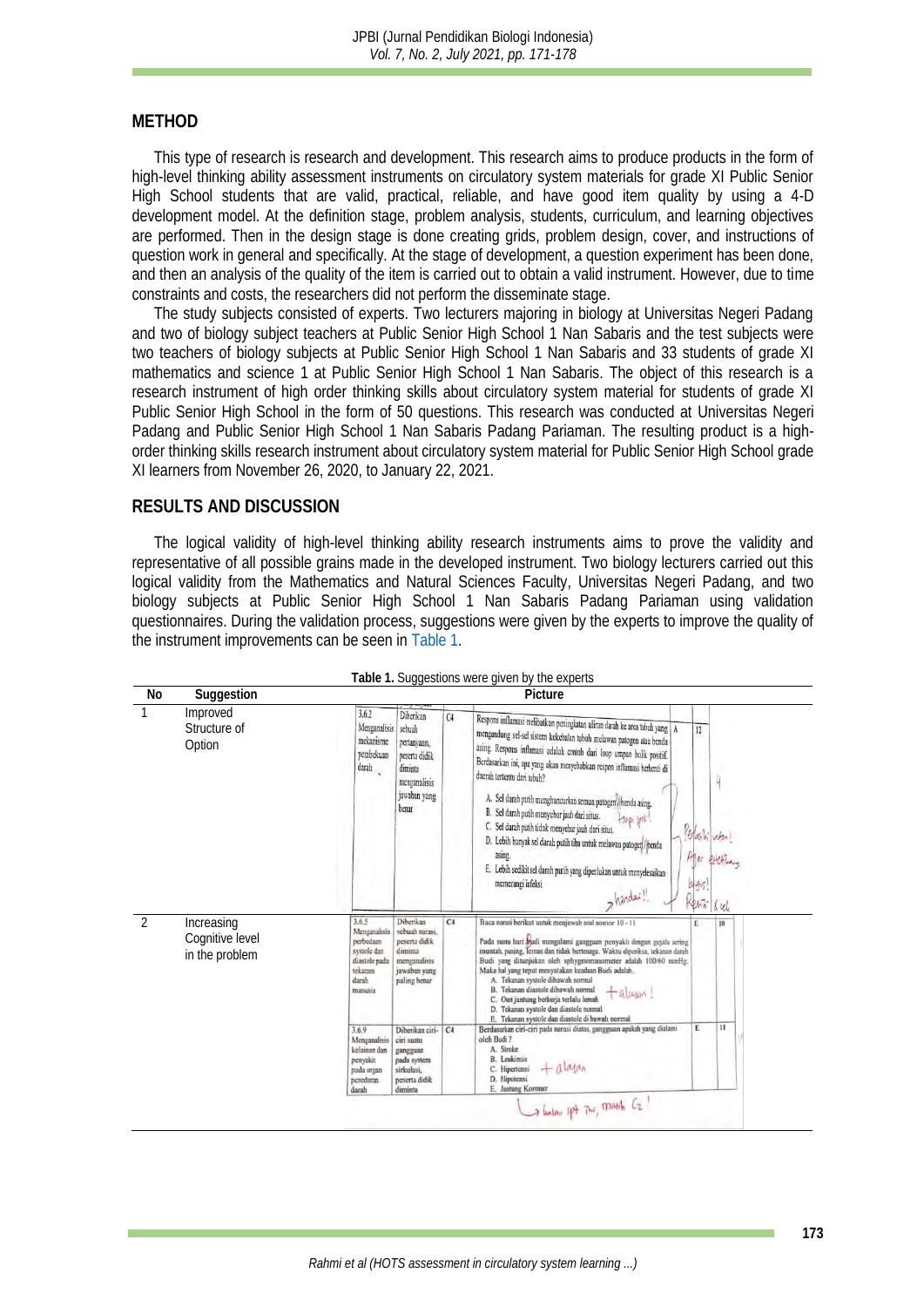#### **METHOD**

This type of research is research and development. This research aims to produce products in the form of high-level thinking ability assessment instruments on circulatory system materials for grade XI Public Senior High School students that are valid, practical, reliable, and have good item quality by using a 4-D development model. At the definition stage, problem analysis, students, curriculum, and learning objectives are performed. Then in the design stage is done creating grids, problem design, cover, and instructions of question work in general and specifically. At the stage of development, a question experiment has been done, and then an analysis of the quality of the item is carried out to obtain a valid instrument. However, due to time constraints and costs, the researchers did not perform the disseminate stage.

The study subjects consisted of experts. Two lecturers majoring in biology at Universitas Negeri Padang and two of biology subject teachers at Public Senior High School 1 Nan Sabaris and the test subjects were two teachers of biology subjects at Public Senior High School 1 Nan Sabaris and 33 students of grade XI mathematics and science 1 at Public Senior High School 1 Nan Sabaris. The object of this research is a research instrument of high order thinking skills about circulatory system material for students of grade XI Public Senior High School in the form of 50 questions. This research was conducted at Universitas Negeri Padang and Public Senior High School 1 Nan Sabaris Padang Pariaman. The resulting product is a highorder thinking skills research instrument about circulatory system material for Public Senior High School grade XI learners from November 26, 2020, to January 22, 2021.

#### **RESULTS AND DISCUSSION**

The logical validity of high-level thinking ability research instruments aims to prove the validity and representative of all possible grains made in the developed instrument. Two biology lecturers carried out this logical validity from the Mathematics and Natural Sciences Faculty, Universitas Negeri Padang, and two biology subjects at Public Senior High School 1 Nan Sabaris Padang Pariaman using validation questionnaires. During the validation process, suggestions were given by the experts to improve the quality of the instrument improvements can be seen in [Table 1.](#page-2-0)

<span id="page-2-0"></span>

|               |                                                 |                                                                                                           |                                                                                                                            |                | Table 1. Suggestions were given by the experts                                                                                                                                                                                                                                                                                                                                                                                                                                                                                                                                                                                                                                                     |                                            |          |  |
|---------------|-------------------------------------------------|-----------------------------------------------------------------------------------------------------------|----------------------------------------------------------------------------------------------------------------------------|----------------|----------------------------------------------------------------------------------------------------------------------------------------------------------------------------------------------------------------------------------------------------------------------------------------------------------------------------------------------------------------------------------------------------------------------------------------------------------------------------------------------------------------------------------------------------------------------------------------------------------------------------------------------------------------------------------------------------|--------------------------------------------|----------|--|
| No            | Suggestion                                      | Picture                                                                                                   |                                                                                                                            |                |                                                                                                                                                                                                                                                                                                                                                                                                                                                                                                                                                                                                                                                                                                    |                                            |          |  |
|               | Improved<br>Structure of<br>Option              | 3.6.2<br>Menganalisis<br>mekanisme<br>pembekuan<br>$d$ arah                                               | Diberikan<br>sebuah<br>pertanyaan,<br>peserta didik<br>diminta<br>menganalisis<br>jawaban yang<br>benar                    | C <sub>4</sub> | Respons inflamasi melibatkan peningkatan aliran darah ke area tubuh yang A<br>mengandung sel-sel sistem kekebalan tubuh melawan patogen atau benda<br>asing. Respons inflamasi adalah contoh dari loop umpan balik positif.<br>Berdasarkan ini, apa yang akan menyebabkan respon inflamasi berhenti di<br>daerah tertentu dari tubuh?<br>A. Sel darah putih menghancurkan semua patogen//benda asing.<br>B. Sel darah putih menyebar jauh dari situs.<br>C. Sel darah putih tidak menyebar jauh dari situs.<br>D. Lebih banyak sel darah putih tiba untuk melawan patoger/penda<br>asing.<br>E. Lebih sedikit sel darah putih yang diperlukan untuk menyelesaikan<br>memerangi infeksi<br>>hander! | 12<br>Perlatifular<br>0 gv<br>Renti<br>kul |          |  |
| $\mathcal{P}$ | Increasing<br>Cognitive level<br>in the problem | 3.65<br>Menganalisis<br>perbedaan<br>systole dan<br>diastole pada<br>tekanan<br>darah<br>manusia<br>3.6.9 | Diberikan<br>sebuah narasi.<br>peserta didik<br>diminta<br>menganalisis<br>jawaban yang<br>paling benar<br>Diberikan ciri- | C4<br>C4       | Baca narasi berikut untuk menjawab soal nomor 10 - 11<br>Pada suatu hari mudi mengalami gangguan penyakit dengan gejala sering<br>muntah, pusing, Jernas dan tidak bertenaga. Waktu diperiksa, tekanan darah<br>Budi yang ditunjukan oleh sphygmomanometer adalah 100/60 mmHg.<br>Maka hal yang tepat menyatakan keadaan Budi adalah.<br>A. Tekanan systole dibawah normal<br>B. Tekanan diastole dibawah normal<br>$+al$ ayan!<br>C. Otot jantung berkerja terlalu lemah<br>D. Tekanan systole dan diastole normal<br>E. Tekanan systole dan diastole di bawah normal<br>Berdasarkan ciri-ciri pada narasi diatas, gangguan apakah yang dialami<br>oleh Budi?                                     | E<br>E                                     | 10<br>11 |  |
|               |                                                 | Menganalisis<br>kelainan dan<br>penyakit<br>pada organ<br>peredaran<br>darah                              | ciri suatu<br>gangguan<br>pada system<br>sirkulasi,<br>peserta didik<br>diminta                                            |                | A. Stroke<br>B. Leukimia<br>$+$ $\overline{\Lambda}$ $\alpha_{\alpha}$<br>C. Hipertensi<br>D. Hipotensi<br>E. Jantung Koroner<br>I have spt This, Mass Ez                                                                                                                                                                                                                                                                                                                                                                                                                                                                                                                                          |                                            |          |  |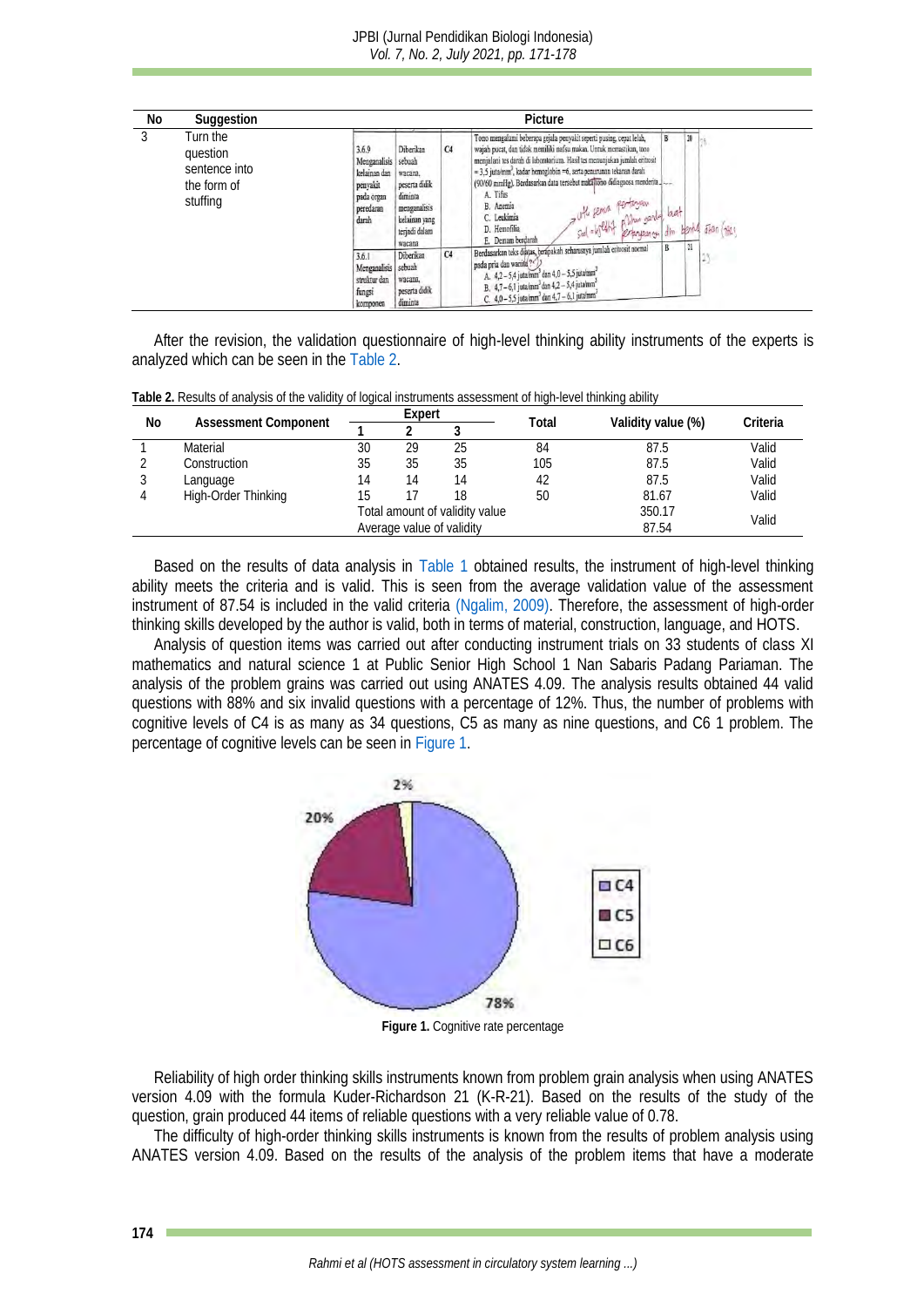

After the revision, the validation questionnaire of high-level thinking ability instruments of the experts is analyzed which can be seen in th[e Table](#page-3-0) 2.

<span id="page-3-0"></span>

| Table 2. Results of analysis of the validity of logical instruments assessment of high-level thinking ability |  |
|---------------------------------------------------------------------------------------------------------------|--|
|---------------------------------------------------------------------------------------------------------------|--|

| Νo | Assessment Component | Expert                         |    |    | Total |                    | Criteria |
|----|----------------------|--------------------------------|----|----|-------|--------------------|----------|
|    |                      |                                |    |    |       | Validity value (%) |          |
|    | Material             | 30                             | 29 | 25 | 84    | 87.5               | Valid    |
|    | Construction         | 35                             | 35 | 35 | 105   | 87.5               | Valid    |
|    | Language             | 4                              |    | 14 |       | 87.5               | Valid    |
|    | High-Order Thinking  | 15                             |    | 18 | 50    | 81.67              | Valid    |
|    |                      | Total amount of validity value |    |    |       | 350.17             | Valid    |
|    |                      | Average value of validity      |    |    |       | 87.54              |          |

Based on the results of data analysis in [Table 1](#page-2-0) obtained results, the instrument of high-level thinking ability meets the criteria and is valid. This is seen from the average validation value of the assessment instrument of 87.54 is included in the valid criteria [\(Ngalim, 2009\).](#page-7-10) Therefore, the assessment of high-order thinking skills developed by the author is valid, both in terms of material, construction, language, and HOTS.

Analysis of question items was carried out after conducting instrument trials on 33 students of class XI mathematics and natural science 1 at Public Senior High School 1 Nan Sabaris Padang Pariaman. The analysis of the problem grains was carried out using ANATES 4.09. The analysis results obtained 44 valid questions with 88% and six invalid questions with a percentage of 12%. Thus, the number of problems with cognitive levels of C4 is as many as 34 questions, C5 as many as nine questions, and C6 1 problem. The percentage of cognitive levels can be seen i[n Figure 1.](#page-3-1)



**Figure 1.** Cognitive rate percentage

<span id="page-3-1"></span>Reliability of high order thinking skills instruments known from problem grain analysis when using ANATES version 4.09 with the formula Kuder-Richardson 21 (K-R-21). Based on the results of the study of the question, grain produced 44 items of reliable questions with a very reliable value of 0.78.

The difficulty of high-order thinking skills instruments is known from the results of problem analysis using ANATES version 4.09. Based on the results of the analysis of the problem items that have a moderate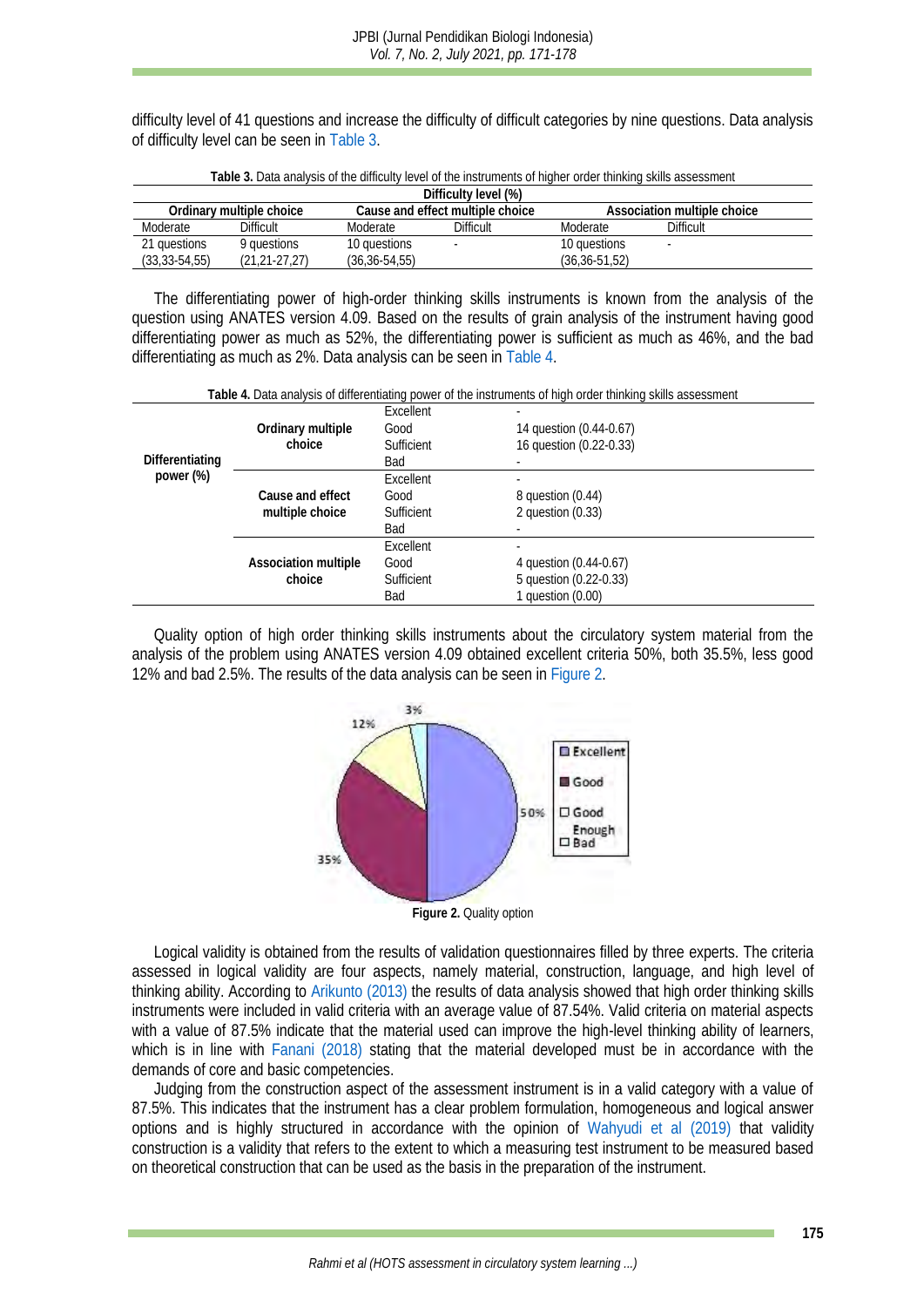difficulty level of 41 questions and increase the difficulty of difficult categories by nine questions. Data analysis of difficulty level can be seen in [Table 3.](#page-4-0)

<span id="page-4-0"></span>

| Difficulty level (%)     |                   |                                  |           |                             |           |  |
|--------------------------|-------------------|----------------------------------|-----------|-----------------------------|-----------|--|
| Ordinary multiple choice |                   | Cause and effect multiple choice |           | Association multiple choice |           |  |
| Moderate                 | Difficult         | Moderate                         | Difficult | Moderate                    | Difficult |  |
| 21 questions             | 9 questions       | 10 questions                     |           | 10 questions                |           |  |
| $(33, 33 - 54, 55)$      | $(21.21 - 27.27)$ | $(36.36 - 54.55)$                |           | $(36.36 - 51.52)$           |           |  |

**Table 3.** Data analysis of the difficulty level of the instruments of higher order thinking skills assessment

The differentiating power of high-order thinking skills instruments is known from the analysis of the question using ANATES version 4.09. Based on the results of grain analysis of the instrument having good differentiating power as much as 52%, the differentiating power is sufficient as much as 46%, and the bad differentiating as much as 2%. Data analysis can be seen in [Table 4.](#page-4-1)

<span id="page-4-1"></span>

|                              |                                                                                      |                                               | Table 4. Data analysis of differentiating power of the instruments of high order thinking skills assessment |
|------------------------------|--------------------------------------------------------------------------------------|-----------------------------------------------|-------------------------------------------------------------------------------------------------------------|
| Differentiating<br>power (%) | Ordinary multiple<br>choice                                                          | Excellent<br>Good<br>Sufficient<br><b>Bad</b> | ٠<br>14 question (0.44-0.67)<br>16 question (0.22-0.33)                                                     |
|                              | <b>Excellent</b><br>Good<br>Cause and effect<br>multiple choice<br>Sufficient<br>Bad |                                               | ٠<br>8 question (0.44)<br>2 question $(0.33)$                                                               |
|                              | Association multiple<br>choice                                                       | <b>Excellent</b><br>Good<br>Sufficient<br>Bad | 4 question (0.44-0.67)<br>5 question (0.22-0.33)<br>1 question $(0.00)$                                     |

Quality option of high order thinking skills instruments about the circulatory system material from the analysis of the problem using ANATES version 4.09 obtained excellent criteria 50%, both 35.5%, less good 12% and bad 2.5%. The results of the data analysis can be seen in [Figure 2.](#page-4-2)



**Figure 2.** Quality option

<span id="page-4-2"></span>Logical validity is obtained from the results of validation questionnaires filled by three experts. The criteria assessed in logical validity are four aspects, namely material, construction, language, and high level of thinking ability. According to [Arikunto](#page-6-5) (2013) the results of data analysis showed that high order thinking skills instruments were included in valid criteria with an average value of 87.54%. Valid criteria on material aspects with a value of 87.5% indicate that the material used can improve the high-level thinking ability of learners, which is in line with [Fanani](#page-6-0) (2018) stating that the material developed must be in accordance with the demands of core and basic competencies.

Judging from the construction aspect of the assessment instrument is in a valid category with a value of 87.5%. This indicates that the instrument has a clear problem formulation, homogeneous and logical answer options and is highly structured in accordance with the opinion of [Wahyudi et al](#page-7-11) (2019) that validity construction is a validity that refers to the extent to which a measuring test instrument to be measured based on theoretical construction that can be used as the basis in the preparation of the instrument.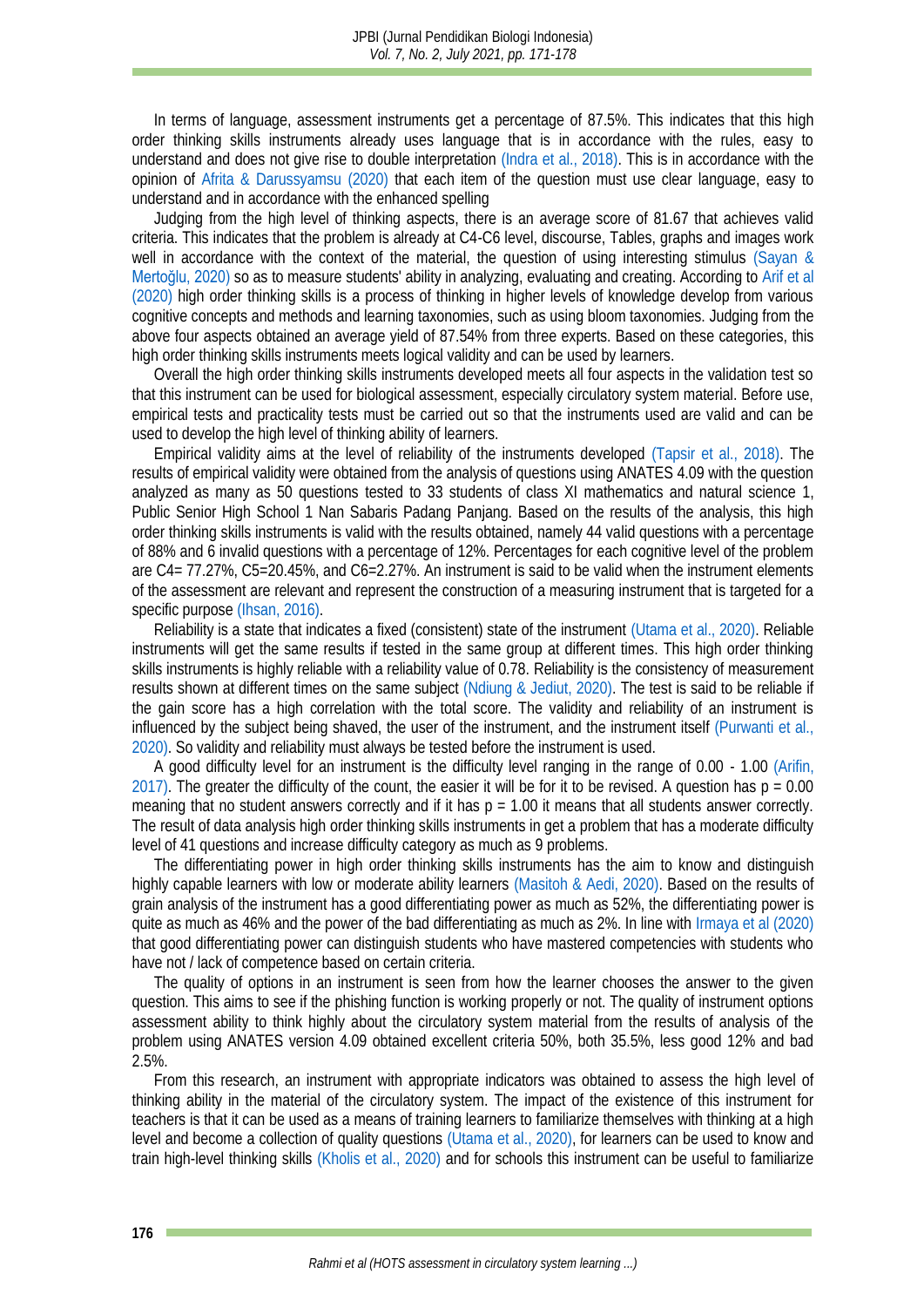In terms of language, assessment instruments get a percentage of 87.5%. This indicates that this high order thinking skills instruments already uses language that is in accordance with the rules, easy to understand and does not give rise to double interpretation [\(Indra et al., 2018\).](#page-6-6) This is in accordance with the opinion of [Afrita & Darussyamsu](#page-6-7) (2020) that each item of the question must use clear language, easy to understand and in accordance with the enhanced spelling

Judging from the high level of thinking aspects, there is an average score of 81.67 that achieves valid criteria. This indicates that the problem is already at C4-C6 level, discourse, Tables, graphs and images work well in accordance with the context of the material, the question of using interesting stimulus [\(Sayan &](#page-7-12)  Mertoğlu, 2020) so as to measure students' ability in analyzing, evaluating and creating. According to [Arif et al](#page-6-8) (2020) high order thinking skills is a process of thinking in higher levels of knowledge develop from various cognitive concepts and methods and learning taxonomies, such as using bloom taxonomies. Judging from the above four aspects obtained an average yield of 87.54% from three experts. Based on these categories, this high order thinking skills instruments meets logical validity and can be used by learners.

Overall the high order thinking skills instruments developed meets all four aspects in the validation test so that this instrument can be used for biological assessment, especially circulatory system material. Before use, empirical tests and practicality tests must be carried out so that the instruments used are valid and can be used to develop the high level of thinking ability of learners.

Empirical validity aims at the level of reliability of the instruments developed [\(Tapsir et al., 2018\).](#page-7-13) The results of empirical validity were obtained from the analysis of questions using ANATES 4.09 with the question analyzed as many as 50 questions tested to 33 students of class XI mathematics and natural science 1, Public Senior High School 1 Nan Sabaris Padang Panjang. Based on the results of the analysis, this high order thinking skills instruments is valid with the results obtained, namely 44 valid questions with a percentage of 88% and 6 invalid questions with a percentage of 12%. Percentages for each cognitive level of the problem are C4= 77.27%, C5=20.45%, and C6=2.27%. An instrument is said to be valid when the instrument elements of the assessment are relevant and represent the construction of a measuring instrument that is targeted for a specific purpos[e \(Ihsan, 2016\).](#page-6-9)

Reliability is a state that indicates a fixed (consistent) state of the instrument [\(Utama et al., 2020\).](#page-7-14) Reliable instruments will get the same results if tested in the same group at different times. This high order thinking skills instruments is highly reliable with a reliability value of 0.78. Reliability is the consistency of measurement results shown at different times on the same subject [\(Ndiung & Jediut, 2020\).](#page-7-15) The test is said to be reliable if the gain score has a high correlation with the total score. The validity and reliability of an instrument is influenced by the subject being shaved, the user of the instrument, and the instrument itself [\(Purwanti et al.,](#page-7-16)  2020). So validity and reliability must always be tested before the instrument is used.

A good difficulty level for an instrument is the difficulty level ranging in the range of 0.00 - 1.00 [\(Arifin,](#page-6-10)  2017). The greater the difficulty of the count, the easier it will be for it to be revised. A question has p = 0.00 meaning that no student answers correctly and if it has  $p = 1.00$  it means that all students answer correctly. The result of data analysis high order thinking skills instruments in get a problem that has a moderate difficulty level of 41 questions and increase difficulty category as much as 9 problems.

The differentiating power in high order thinking skills instruments has the aim to know and distinguish highly capable learners with low or moderate ability learners [\(Masitoh & Aedi, 2020\).](#page-7-17) Based on the results of grain analysis of the instrument has a good differentiating power as much as 52%, the differentiating power is quite as much as 46% and the power of the bad differentiating as much as 2%. In line with [Irmaya et al](#page-6-11) (2020) that good differentiating power can distinguish students who have mastered competencies with students who have not / lack of competence based on certain criteria.

The quality of options in an instrument is seen from how the learner chooses the answer to the given question. This aims to see if the phishing function is working properly or not. The quality of instrument options assessment ability to think highly about the circulatory system material from the results of analysis of the problem using ANATES version 4.09 obtained excellent criteria 50%, both 35.5%, less good 12% and bad 2.5%.

From this research, an instrument with appropriate indicators was obtained to assess the high level of thinking ability in the material of the circulatory system. The impact of the existence of this instrument for teachers is that it can be used as a means of training learners to familiarize themselves with thinking at a high level and become a collection of quality questions [\(Utama et al., 2020\),](#page-7-14) for learners can be used to know and train high-level thinking skills [\(Kholis et al., 2020\)](#page-6-12) and for schools this instrument can be useful to familiarize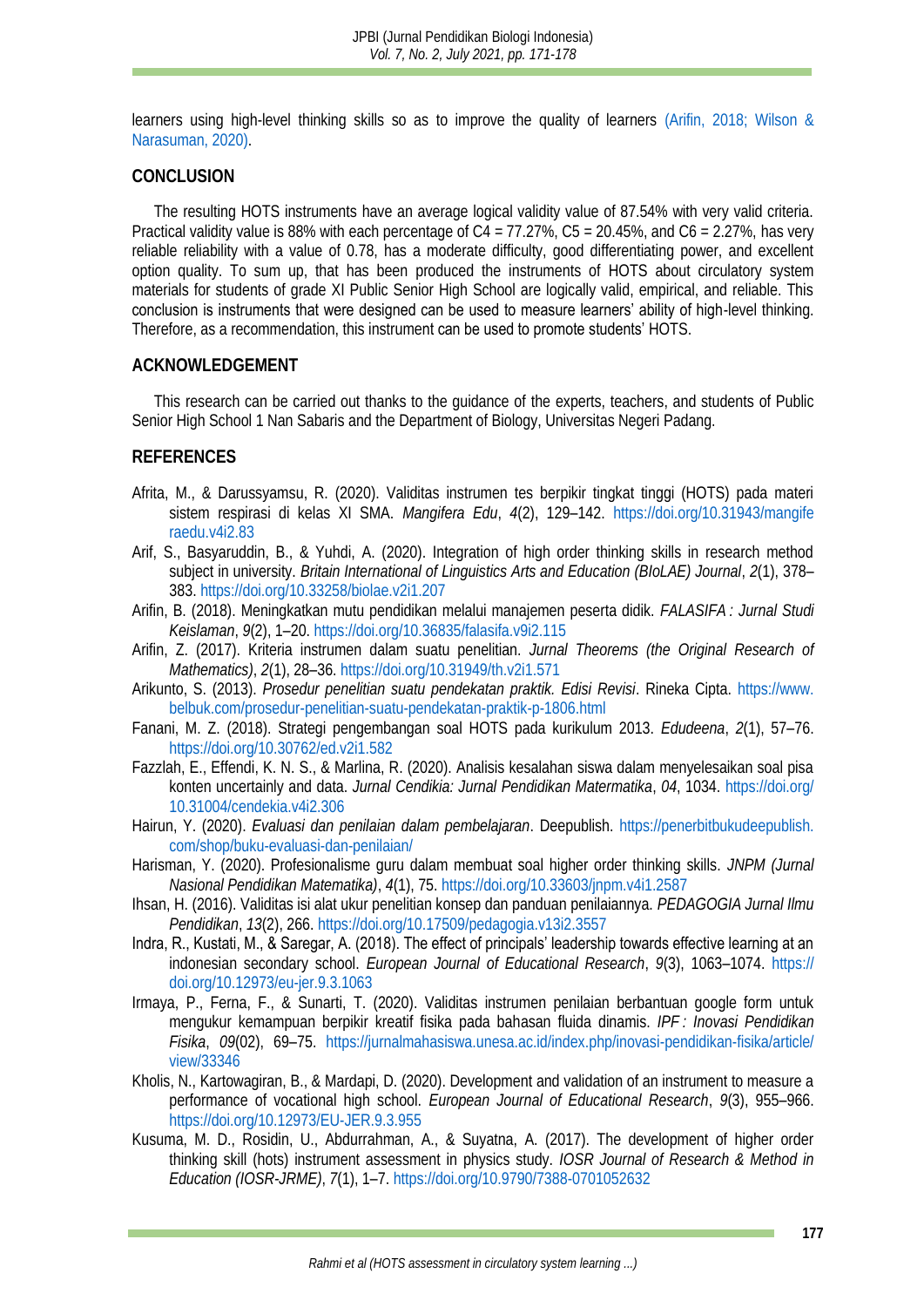learners using high-level thinking skills so as to improve the quality of learners [\(Arifin, 2018;](#page-6-13) [Wilson &](#page-7-18)  [Narasuman, 2020\).](#page-7-18)

#### **CONCLUSION**

The resulting HOTS instruments have an average logical validity value of 87.54% with very valid criteria. Practical validity value is 88% with each percentage of C4 = 77.27%, C5 = 20.45%, and C6 = 2.27%, has very reliable reliability with a value of 0.78, has a moderate difficulty, good differentiating power, and excellent option quality. To sum up, that has been produced the instruments of HOTS about circulatory system materials for students of grade XI Public Senior High School are logically valid, empirical, and reliable. This conclusion is instruments that were designed can be used to measure learners' ability of high-level thinking. Therefore, as a recommendation, this instrument can be used to promote students' HOTS.

#### **ACKNOWLEDGEMENT**

This research can be carried out thanks to the guidance of the experts, teachers, and students of Public Senior High School 1 Nan Sabaris and the Department of Biology, Universitas Negeri Padang.

#### **REFERENCES**

- <span id="page-6-7"></span>Afrita, M., & Darussyamsu, R. (2020). Validitas instrumen tes berpikir tingkat tinggi (HOTS) pada materi sistem respirasi di kelas XI SMA. *Mangifera Edu*, *4*(2), 129–142. [https://doi.org/10.31943/mangife](https://doi.org/10.31943/mangiferaedu.v4i2.83) [raedu.v4i2.83](https://doi.org/10.31943/mangiferaedu.v4i2.83)
- <span id="page-6-8"></span>Arif, S., Basyaruddin, B., & Yuhdi, A. (2020). Integration of high order thinking skills in research method subject in university. *Britain International of Linguistics Arts and Education (BIoLAE) Journal*, *2*(1), 378– 383.<https://doi.org/10.33258/biolae.v2i1.207>
- <span id="page-6-13"></span>Arifin, B. (2018). Meningkatkan mutu pendidikan melalui manajemen peserta didik. *FALASIFA : Jurnal Studi Keislaman*, *9*(2), 1–20.<https://doi.org/10.36835/falasifa.v9i2.115>
- <span id="page-6-10"></span>Arifin, Z. (2017). Kriteria instrumen dalam suatu penelitian. *Jurnal Theorems (the Original Research of Mathematics)*, *2*(1), 28–36[. https://doi.org/10.31949/th.v2i1.571](https://doi.org/10.31949/th.v2i1.571)
- <span id="page-6-5"></span>Arikunto, S. (2013). *Prosedur penelitian suatu pendekatan praktik. Edisi Revisi*. Rineka Cipta. [https://www.](https://www.belbuk.com/prosedur-penelitian-suatu-pendekatan-praktik-p-1806.html) [belbuk.com/prosedur-penelitian-suatu-pendekatan-praktik-p-1806.html](https://www.belbuk.com/prosedur-penelitian-suatu-pendekatan-praktik-p-1806.html)
- <span id="page-6-0"></span>Fanani, M. Z. (2018). Strategi pengembangan soal HOTS pada kurikulum 2013. *Edudeena*, *2*(1), 57–76. <https://doi.org/10.30762/ed.v2i1.582>
- <span id="page-6-2"></span>Fazzlah, E., Effendi, K. N. S., & Marlina, R. (2020). Analisis kesalahan siswa dalam menyelesaikan soal pisa konten uncertainly and data. *Jurnal Cendikia: Jurnal Pendidikan Matermatika*, *04*, 1034. [https://doi.org/](https://doi.org/10.31004/cendekia.v4i2.306) [10.31004/cendekia.v4i2.306](https://doi.org/10.31004/cendekia.v4i2.306)
- <span id="page-6-1"></span>Hairun, Y. (2020). *Evaluasi dan penilaian dalam pembelajaran*. Deepublish. [https://penerbitbukudeepublish.](https://penerbitbukudeepublish.com/shop/buku-evaluasi-dan-penilaian/) [com/shop/buku-evaluasi-dan-penilaian/](https://penerbitbukudeepublish.com/shop/buku-evaluasi-dan-penilaian/)
- <span id="page-6-3"></span>Harisman, Y. (2020). Profesionalisme guru dalam membuat soal higher order thinking skills. *JNPM (Jurnal Nasional Pendidikan Matematika)*, *4*(1), 75[. https://doi.org/10.33603/jnpm.v4i1.2587](https://doi.org/10.33603/jnpm.v4i1.2587)
- <span id="page-6-9"></span>Ihsan, H. (2016). Validitas isi alat ukur penelitian konsep dan panduan penilaiannya. *PEDAGOGIA Jurnal Ilmu Pendidikan*, *13*(2), 266.<https://doi.org/10.17509/pedagogia.v13i2.3557>
- <span id="page-6-6"></span>Indra, R., Kustati, M., & Saregar, A. (2018). The effect of principals' leadership towards effective learning at an indonesian secondary school. *European Journal of Educational Research*, *9*(3), 1063–1074. [https://](https://doi.org/10.12973/eu-jer.9.3.1063) [doi.org/10.12973/eu-jer.9.3.1063](https://doi.org/10.12973/eu-jer.9.3.1063)
- <span id="page-6-11"></span>Irmaya, P., Ferna, F., & Sunarti, T. (2020). Validitas instrumen penilaian berbantuan google form untuk mengukur kemampuan berpikir kreatif fisika pada bahasan fluida dinamis. *IPF : Inovasi Pendidikan Fisika*, *09*(02), 69–75. [https://jurnalmahasiswa.unesa.ac.id/index.php/inovasi-pendidikan-fisika/article/](https://jurnalmahasiswa.unesa.ac.id/index.php/inovasi-pendidikan-fisika/article/view/33346) [view/33346](https://jurnalmahasiswa.unesa.ac.id/index.php/inovasi-pendidikan-fisika/article/view/33346)
- <span id="page-6-12"></span>Kholis, N., Kartowagiran, B., & Mardapi, D. (2020). Development and validation of an instrument to measure a performance of vocational high school. *European Journal of Educational Research*, *9*(3), 955–966. <https://doi.org/10.12973/EU-JER.9.3.955>
- <span id="page-6-4"></span>Kusuma, M. D., Rosidin, U., Abdurrahman, A., & Suyatna, A. (2017). The development of higher order thinking skill (hots) instrument assessment in physics study. *IOSR Journal of Research & Method in Education (IOSR-JRME)*, *7*(1), 1–7[. https://doi.org/10.9790/7388-0701052632](https://doi.org/10.9790/7388-0701052632)